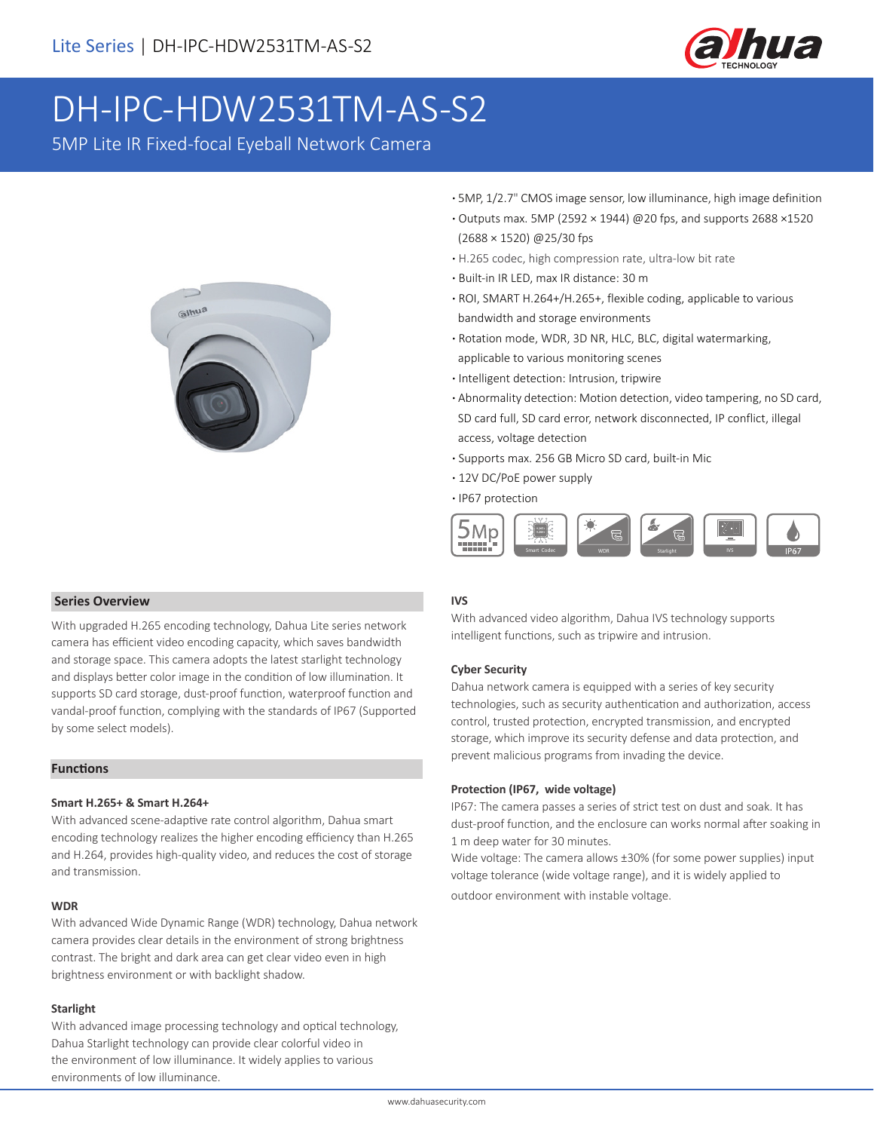

# DH-IPC-HDW2531TM-AS-S2

5MP Lite IR Fixed-focal Eyeball Network Camera



- **·** 5MP, 1/2.7" CMOS image sensor, low illuminance, high image definition
- **·** Outputs max. 5MP (2592 × 1944) @20 fps, and supports 2688 ×1520 (2688 × 1520) @25/30 fps
- **·** H.265 codec, high compression rate, ultra-low bit rate
- **·** Built-in IR LED, max IR distance: 30 m
- **·** ROI, SMART H.264+/H.265+, flexible coding, applicable to various bandwidth and storage environments
- **·** Rotation mode, WDR, 3D NR, HLC, BLC, digital watermarking, applicable to various monitoring scenes
- **·** Intelligent detection: Intrusion, tripwire
- **·** Abnormality detection: Motion detection, video tampering, no SD card, SD card full, SD card error, network disconnected, IP conflict, illegal access, voltage detection
- **·** Supports max. 256 GB Micro SD card, built-in Mic
- **·** 12V DC/PoE power supply
- **·** IP67 protection



# **IVS**

With advanced video algorithm, Dahua IVS technology supports intelligent functions, such as tripwire and intrusion.

# **Cyber Security**

Dahua network camera is equipped with a series of key security technologies, such as security authentication and authorization, access control, trusted protection, encrypted transmission, and encrypted storage, which improve its security defense and data protection, and prevent malicious programs from invading the device.

# **Protection (IP67, wide voltage)**

IP67: The camera passes a series of strict test on dust and soak. It has dust-proof function, and the enclosure can works normal after soaking in 1 m deep water for 30 minutes.

Wide voltage: The camera allows ±30% (for some power supplies) input voltage tolerance (wide voltage range), and it is widely applied to outdoor environment with instable voltage.

# **Series Overview**

With upgraded H.265 encoding technology, Dahua Lite series network camera has efficient video encoding capacity, which saves bandwidth and storage space. This camera adopts the latest starlight technology and displays better color image in the condition of low illumination. It supports SD card storage, dust-proof function, waterproof function and vandal-proof function, complying with the standards of IP67 (Supported by some select models).

# **Functions**

# **Smart H.265+ & Smart H.264+**

With advanced scene-adaptive rate control algorithm, Dahua smart encoding technology realizes the higher encoding efficiency than H.265 and H.264, provides high-quality video, and reduces the cost of storage and transmission.

### **WDR**

With advanced Wide Dynamic Range (WDR) technology, Dahua network camera provides clear details in the environment of strong brightness contrast. The bright and dark area can get clear video even in high brightness environment or with backlight shadow.

### **Starlight**

With advanced image processing technology and optical technology, Dahua Starlight technology can provide clear colorful video in the environment of low illuminance. It widely applies to various environments of low illuminance.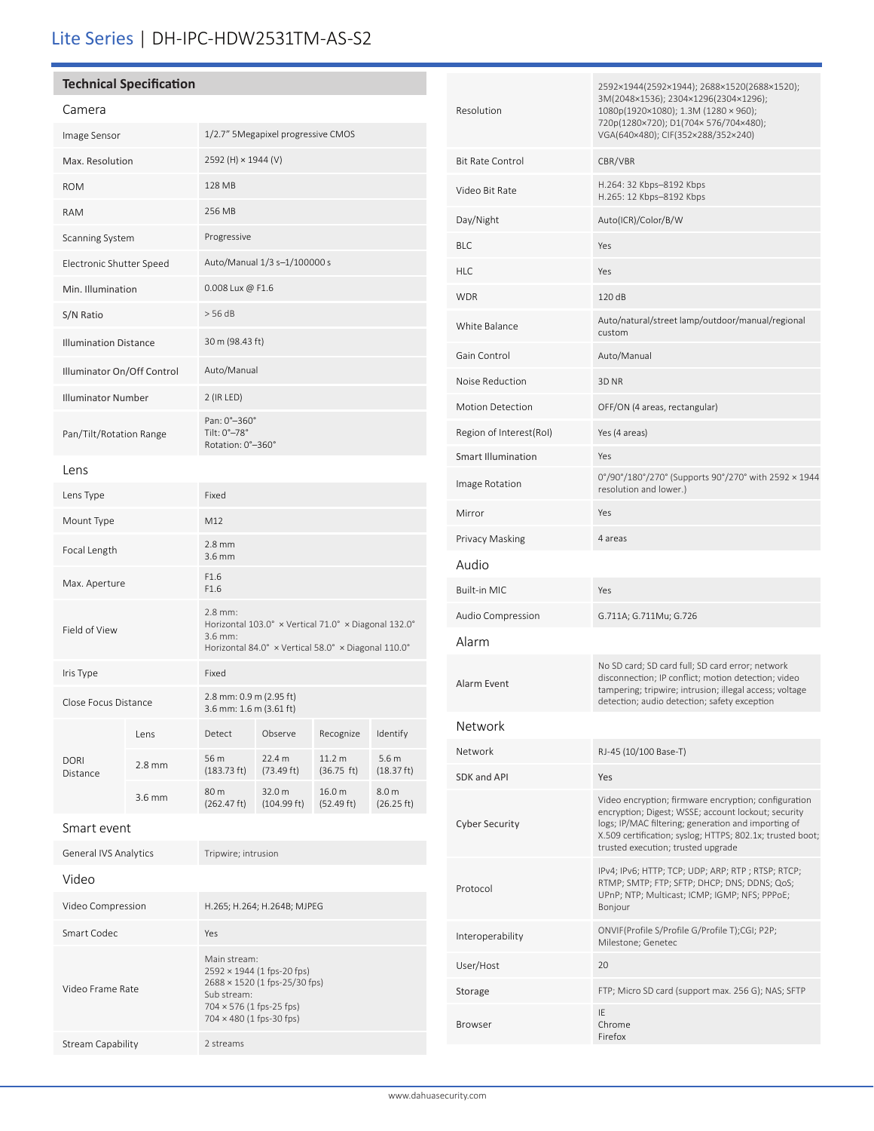# Lite Series | DH-IPC-HDW2531TM-AS-S2

# **Technical Specification**

| Camera                       |                                                                 |
|------------------------------|-----------------------------------------------------------------|
| Image Sensor                 | 1/2.7" 5Megapixel progressive CMOS                              |
| Max. Resolution              | 2592 (H) × 1944 (V)                                             |
| <b>ROM</b>                   | 128 MB                                                          |
| <b>RAM</b>                   | 256 MB                                                          |
| <b>Scanning System</b>       | Progressive                                                     |
| Electronic Shutter Speed     | Auto/Manual 1/3 s-1/100000 s                                    |
| Min. Illumination            | $0.008$ Lux @ F1.6                                              |
| S/N Ratio                    | $>$ 56 dB                                                       |
| <b>Illumination Distance</b> | 30 m (98.43 ft)                                                 |
| Illuminator On/Off Control   | Auto/Manual                                                     |
| <b>Illuminator Number</b>    | $2$ (IR LED)                                                    |
| Pan/Tilt/Rotation Range      | Pan: 0°-360°<br>Tilt: $0^\circ - 78^\circ$<br>Rotation: 0°-360° |

## Lens

| Lens Type            |                  | Fixed                                                                                                                                 |                                |                      |                                |
|----------------------|------------------|---------------------------------------------------------------------------------------------------------------------------------------|--------------------------------|----------------------|--------------------------------|
| Mount Type           |                  | M12                                                                                                                                   |                                |                      |                                |
| Focal Length         |                  | $2.8$ mm<br>$3.6$ mm                                                                                                                  |                                |                      |                                |
| Max. Aperture        |                  | F <sub>1.6</sub><br>F <sub>1.6</sub>                                                                                                  |                                |                      |                                |
| Field of View        |                  | $2.8$ mm:<br>Horizontal 103.0° x Vertical 71.0° x Diagonal 132.0°<br>$3.6$ mm:<br>Horizontal 84.0° x Vertical 58.0° x Diagonal 110.0° |                                |                      |                                |
| Iris Type            |                  | Fixed                                                                                                                                 |                                |                      |                                |
| Close Focus Distance |                  | 2.8 mm: 0.9 m (2.95 ft)<br>3.6 mm: 1.6 m (3.61 ft)                                                                                    |                                |                      |                                |
|                      | I ens            | Detect                                                                                                                                | Observe                        | Recognize            | Identify                       |
| DORI<br>Distance     | $2.8$ mm         | 56 m<br>$(183.73 \text{ ft})$                                                                                                         | 22.4 m<br>$(73.49 \text{ ft})$ | 11.2 m<br>(36.75 ft) | 5.6 <sub>m</sub><br>(18.37 ft) |
|                      | $3.6 \text{ mm}$ | 80 m<br>(262.47 ft)                                                                                                                   | 32.0 m<br>(104.99 ft)          | 16.0 m<br>(52.49 ft) | 8.0 <sub>m</sub><br>(26.25 ft) |

# Smart event

| <b>General IVS Analytics</b> | Tripwire; intrusion                                                                                                                                       |
|------------------------------|-----------------------------------------------------------------------------------------------------------------------------------------------------------|
| Video                        |                                                                                                                                                           |
| Video Compression            | H.265; H.264; H.264B; MJPEG                                                                                                                               |
| Smart Codec                  | Yes                                                                                                                                                       |
| Video Frame Rate             | Main stream:<br>$2592 \times 1944$ (1 fps-20 fps)<br>2688 × 1520 (1 fps-25/30 fps)<br>Sub stream:<br>704 × 576 (1 fps-25 fps)<br>704 × 480 (1 fps-30 fps) |
| Stream Capability            | 2 streams                                                                                                                                                 |
|                              |                                                                                                                                                           |

| Resolution                | 2592×1944(2592×1944); 2688×1520(2688×1520);<br>3M(2048×1536); 2304×1296(2304×1296);<br>1080p(1920×1080); 1.3M (1280 × 960);<br>720p(1280×720); D1(704×576/704×480);<br>VGA(640×480); CIF(352×288/352×240)                                                             |
|---------------------------|-----------------------------------------------------------------------------------------------------------------------------------------------------------------------------------------------------------------------------------------------------------------------|
| <b>Bit Rate Control</b>   | CBR/VBR                                                                                                                                                                                                                                                               |
| Video Bit Rate            | H.264: 32 Kbps-8192 Kbps<br>H.265: 12 Kbps-8192 Kbps                                                                                                                                                                                                                  |
| Day/Night                 | Auto(ICR)/Color/B/W                                                                                                                                                                                                                                                   |
| <b>BLC</b>                | Yes                                                                                                                                                                                                                                                                   |
| <b>HLC</b>                | Yes                                                                                                                                                                                                                                                                   |
| <b>WDR</b>                | 120 dB                                                                                                                                                                                                                                                                |
| White Balance             | Auto/natural/street lamp/outdoor/manual/regional<br>custom                                                                                                                                                                                                            |
| Gain Control              | Auto/Manual                                                                                                                                                                                                                                                           |
| Noise Reduction           | 3D NR                                                                                                                                                                                                                                                                 |
| <b>Motion Detection</b>   | OFF/ON (4 areas, rectangular)                                                                                                                                                                                                                                         |
| Region of Interest(RoI)   | Yes (4 areas)                                                                                                                                                                                                                                                         |
| <b>Smart Illumination</b> | Yes                                                                                                                                                                                                                                                                   |
| Image Rotation            | 0°/90°/180°/270° (Supports 90°/270° with 2592 × 1944<br>resolution and lower.)                                                                                                                                                                                        |
| Mirror                    | Yes                                                                                                                                                                                                                                                                   |
| Privacy Masking           | 4 areas                                                                                                                                                                                                                                                               |
| Audio                     |                                                                                                                                                                                                                                                                       |
| Built-in MIC              | Yes                                                                                                                                                                                                                                                                   |
| Audio Compression         | G.711A; G.711Mu; G.726                                                                                                                                                                                                                                                |
| Alarm                     |                                                                                                                                                                                                                                                                       |
| Alarm Event               | No SD card; SD card full; SD card error; network<br>disconnection; IP conflict; motion detection; video<br>tampering; tripwire; intrusion; illegal access; voltage                                                                                                    |
|                           | detection; audio detection; safety exception                                                                                                                                                                                                                          |
| Network                   |                                                                                                                                                                                                                                                                       |
| Network                   | RJ-45 (10/100 Base-T)                                                                                                                                                                                                                                                 |
| SDK and API               | Yes                                                                                                                                                                                                                                                                   |
| <b>Cyber Security</b>     | Video encryption; firmware encryption; configuration<br>encryption; Digest; WSSE; account lockout; security<br>logs; IP/MAC filtering; generation and importing of<br>X.509 certification; syslog; HTTPS; 802.1x; trusted boot;<br>trusted execution; trusted upgrade |
| Protocol                  | IPv4; IPv6; HTTP; TCP; UDP; ARP; RTP; RTSP; RTCP;<br>RTMP; SMTP; FTP; SFTP; DHCP; DNS; DDNS; QoS;<br>UPnP; NTP; Multicast; ICMP; IGMP; NFS; PPPoE;<br>Bonjour                                                                                                         |
| Interoperability          | ONVIF(Profile S/Profile G/Profile T);CGI; P2P;<br>Milestone; Genetec                                                                                                                                                                                                  |
| User/Host                 | 20                                                                                                                                                                                                                                                                    |
| Storage                   | FTP; Micro SD card (support max. 256 G); NAS; SFTP                                                                                                                                                                                                                    |